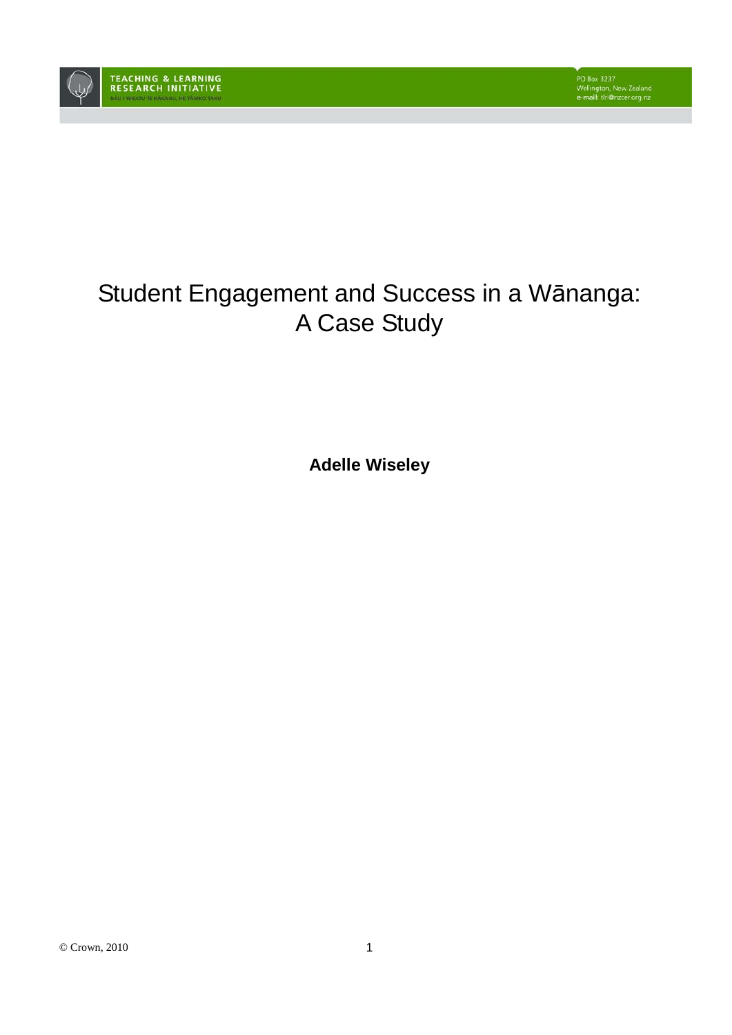

# Student Engagement and Success in a Wānanga: A Case Study

**Adelle Wiseley**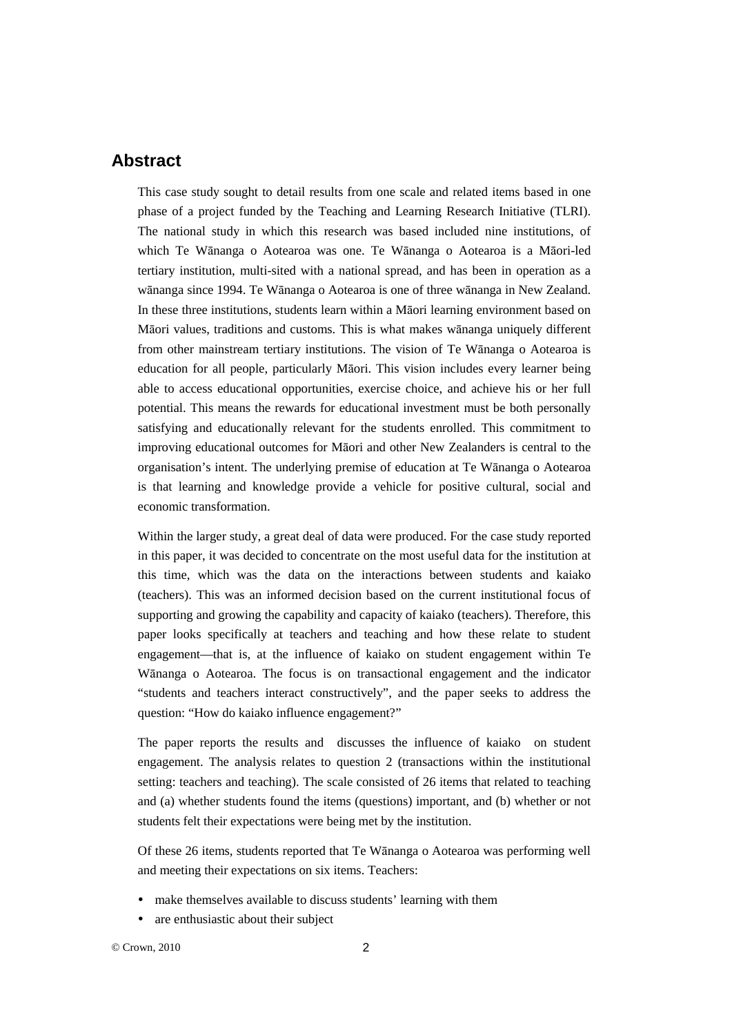## **Abstract**

This case study sought to detail results from one scale and related items based in one phase of a project funded by the Teaching and Learning Research Initiative (TLRI). The national study in which this research was based included nine institutions, of which Te Wānanga o Aotearoa was one. Te Wānanga o Aotearoa is a Māori-led tertiary institution, multi-sited with a national spread, and has been in operation as a wānanga since 1994. Te Wānanga o Aotearoa is one of three wānanga in New Zealand. In these three institutions, students learn within a Māori learning environment based on Māori values, traditions and customs. This is what makes wānanga uniquely different from other mainstream tertiary institutions. The vision of Te Wānanga o Aotearoa is education for all people, particularly Māori. This vision includes every learner being able to access educational opportunities, exercise choice, and achieve his or her full potential. This means the rewards for educational investment must be both personally satisfying and educationally relevant for the students enrolled. This commitment to improving educational outcomes for Māori and other New Zealanders is central to the organisation's intent. The underlying premise of education at Te Wānanga o Aotearoa is that learning and knowledge provide a vehicle for positive cultural, social and economic transformation.

Within the larger study, a great deal of data were produced. For the case study reported in this paper, it was decided to concentrate on the most useful data for the institution at this time, which was the data on the interactions between students and kaiako (teachers). This was an informed decision based on the current institutional focus of supporting and growing the capability and capacity of kaiako (teachers). Therefore, this paper looks specifically at teachers and teaching and how these relate to student engagement—that is, at the influence of kaiako on student engagement within Te Wānanga o Aotearoa. The focus is on transactional engagement and the indicator "students and teachers interact constructively", and the paper seeks to address the question: "How do kaiako influence engagement?"

The paper reports the results and discusses the influence of kaiako on student engagement. The analysis relates to question 2 (transactions within the institutional setting: teachers and teaching). The scale consisted of 26 items that related to teaching and (a) whether students found the items (questions) important, and (b) whether or not students felt their expectations were being met by the institution.

Of these 26 items, students reported that Te Wānanga o Aotearoa was performing well and meeting their expectations on six items. Teachers:

- make themselves available to discuss students' learning with them
- are enthusiastic about their subject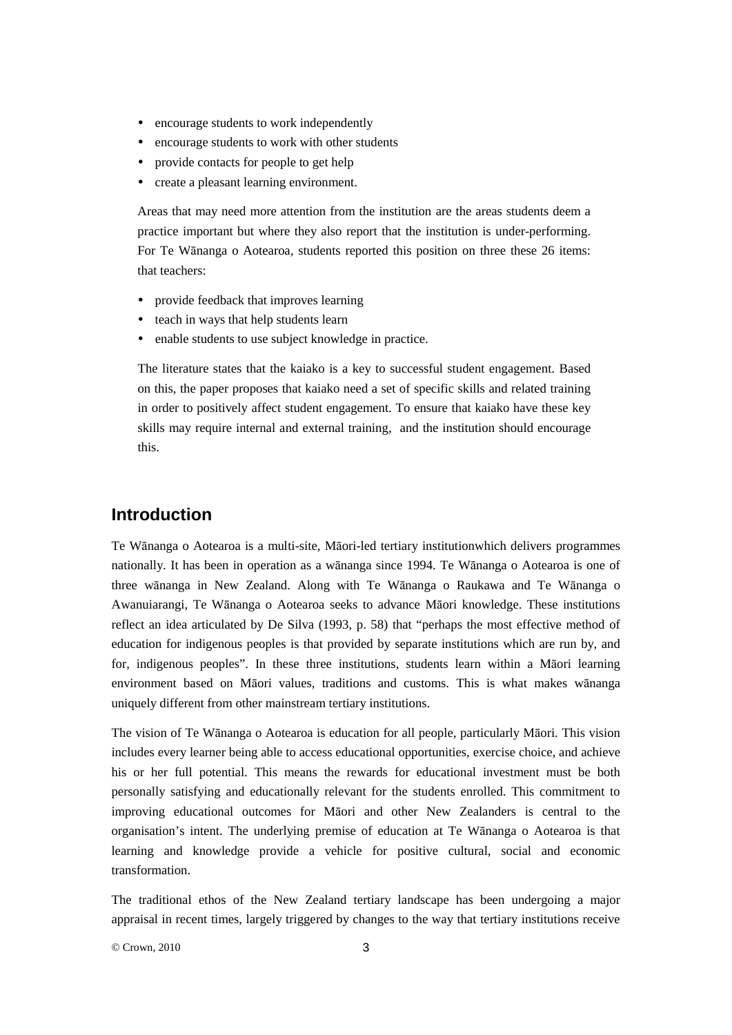- encourage students to work independently
- encourage students to work with other students
- provide contacts for people to get help
- create a pleasant learning environment.

Areas that may need more attention from the institution are the areas students deem a practice important but where they also report that the institution is under-performing. For Te Wānanga o Aotearoa, students reported this position on three these 26 items: that teachers:

- provide feedback that improves learning
- teach in ways that help students learn
- enable students to use subject knowledge in practice.

The literature states that the kaiako is a key to successful student engagement. Based on this, the paper proposes that kaiako need a set of specific skills and related training in order to positively affect student engagement. To ensure that kaiako have these key skills may require internal and external training, and the institution should encourage this.

#### **Introduction**

Te Wānanga o Aotearoa is a multi-site, Māori-led tertiary institutionwhich delivers programmes nationally. It has been in operation as a wānanga since 1994. Te Wānanga o Aotearoa is one of three wānanga in New Zealand. Along with Te Wānanga o Raukawa and Te Wānanga o Awanuiarangi, Te Wānanga o Aotearoa seeks to advance Māori knowledge. These institutions reflect an idea articulated by De Silva (1993, p. 58) that "perhaps the most effective method of education for indigenous peoples is that provided by separate institutions which are run by, and for, indigenous peoples". In these three institutions, students learn within a Māori learning environment based on Māori values, traditions and customs. This is what makes wānanga uniquely different from other mainstream tertiary institutions.

The vision of Te Wānanga o Aotearoa is education for all people, particularly Māori. This vision includes every learner being able to access educational opportunities, exercise choice, and achieve his or her full potential. This means the rewards for educational investment must be both personally satisfying and educationally relevant for the students enrolled. This commitment to improving educational outcomes for Māori and other New Zealanders is central to the organisation's intent. The underlying premise of education at Te Wānanga o Aotearoa is that learning and knowledge provide a vehicle for positive cultural, social and economic transformation.

The traditional ethos of the New Zealand tertiary landscape has been undergoing a major appraisal in recent times, largely triggered by changes to the way that tertiary institutions receive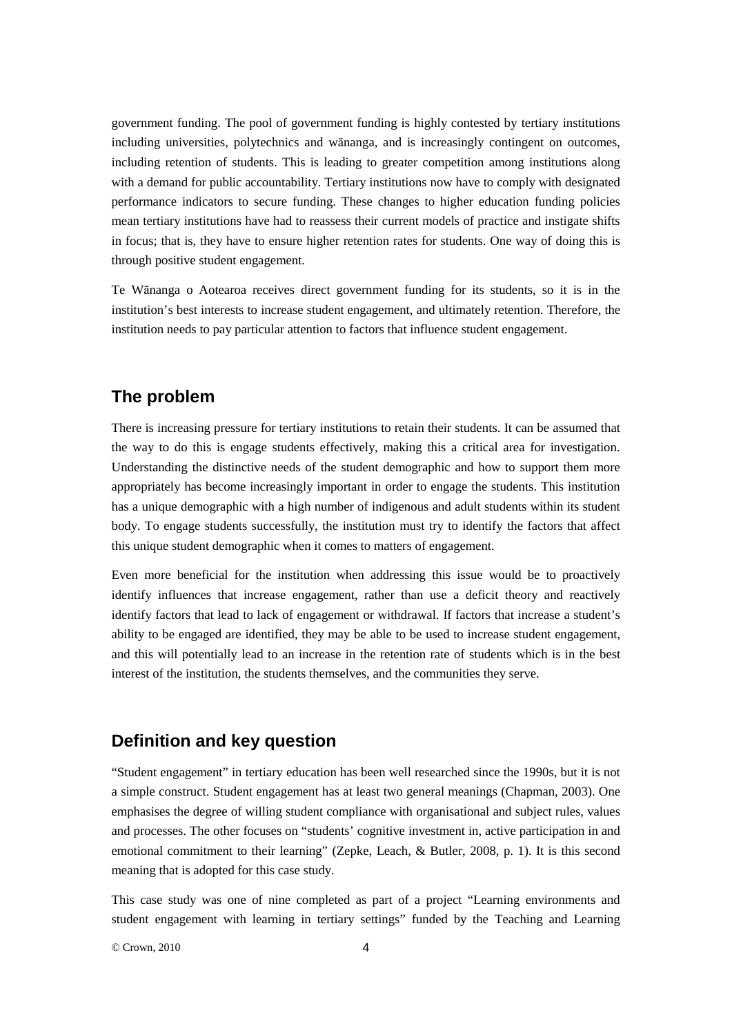government funding. The pool of government funding is highly contested by tertiary institutions including universities, polytechnics and wānanga, and is increasingly contingent on outcomes, including retention of students. This is leading to greater competition among institutions along with a demand for public accountability. Tertiary institutions now have to comply with designated performance indicators to secure funding. These changes to higher education funding policies mean tertiary institutions have had to reassess their current models of practice and instigate shifts in focus; that is, they have to ensure higher retention rates for students. One way of doing this is through positive student engagement.

Te Wānanga o Aotearoa receives direct government funding for its students, so it is in the institution's best interests to increase student engagement, and ultimately retention. Therefore, the institution needs to pay particular attention to factors that influence student engagement.

## **The problem**

There is increasing pressure for tertiary institutions to retain their students. It can be assumed that the way to do this is engage students effectively, making this a critical area for investigation. Understanding the distinctive needs of the student demographic and how to support them more appropriately has become increasingly important in order to engage the students. This institution has a unique demographic with a high number of indigenous and adult students within its student body. To engage students successfully, the institution must try to identify the factors that affect this unique student demographic when it comes to matters of engagement.

Even more beneficial for the institution when addressing this issue would be to proactively identify influences that increase engagement, rather than use a deficit theory and reactively identify factors that lead to lack of engagement or withdrawal. If factors that increase a student's ability to be engaged are identified, they may be able to be used to increase student engagement, and this will potentially lead to an increase in the retention rate of students which is in the best interest of the institution, the students themselves, and the communities they serve.

#### **Definition and key question**

"Student engagement" in tertiary education has been well researched since the 1990s, but it is not a simple construct. Student engagement has at least two general meanings (Chapman, 2003). One emphasises the degree of willing student compliance with organisational and subject rules, values and processes. The other focuses on "students' cognitive investment in, active participation in and emotional commitment to their learning" (Zepke, Leach, & Butler, 2008, p. 1). It is this second meaning that is adopted for this case study.

This case study was one of nine completed as part of a project "Learning environments and student engagement with learning in tertiary settings" funded by the Teaching and Learning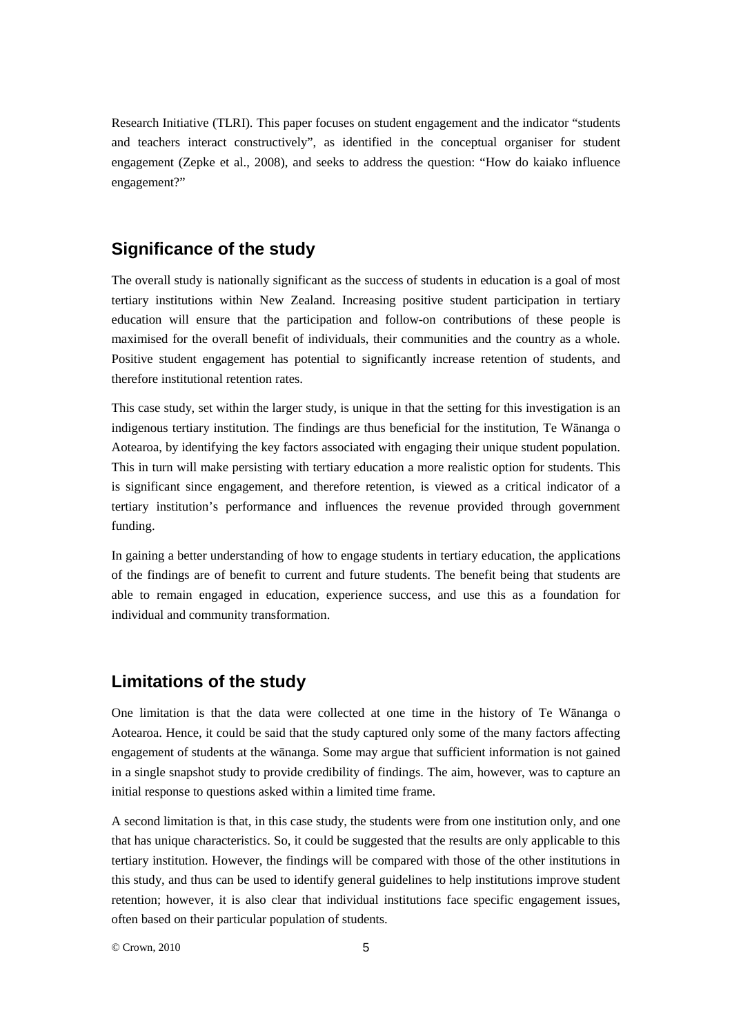Research Initiative (TLRI). This paper focuses on student engagement and the indicator "students and teachers interact constructively", as identified in the conceptual organiser for student engagement (Zepke et al., 2008), and seeks to address the question: "How do kaiako influence engagement?"

## **Significance of the study**

The overall study is nationally significant as the success of students in education is a goal of most tertiary institutions within New Zealand. Increasing positive student participation in tertiary education will ensure that the participation and follow-on contributions of these people is maximised for the overall benefit of individuals, their communities and the country as a whole. Positive student engagement has potential to significantly increase retention of students, and therefore institutional retention rates.

This case study, set within the larger study, is unique in that the setting for this investigation is an indigenous tertiary institution. The findings are thus beneficial for the institution, Te Wānanga o Aotearoa, by identifying the key factors associated with engaging their unique student population. This in turn will make persisting with tertiary education a more realistic option for students. This is significant since engagement, and therefore retention, is viewed as a critical indicator of a tertiary institution's performance and influences the revenue provided through government funding.

In gaining a better understanding of how to engage students in tertiary education, the applications of the findings are of benefit to current and future students. The benefit being that students are able to remain engaged in education, experience success, and use this as a foundation for individual and community transformation.

#### **Limitations of the study**

One limitation is that the data were collected at one time in the history of Te Wānanga o Aotearoa. Hence, it could be said that the study captured only some of the many factors affecting engagement of students at the wānanga. Some may argue that sufficient information is not gained in a single snapshot study to provide credibility of findings. The aim, however, was to capture an initial response to questions asked within a limited time frame.

A second limitation is that, in this case study, the students were from one institution only, and one that has unique characteristics. So, it could be suggested that the results are only applicable to this tertiary institution. However, the findings will be compared with those of the other institutions in this study, and thus can be used to identify general guidelines to help institutions improve student retention; however, it is also clear that individual institutions face specific engagement issues, often based on their particular population of students.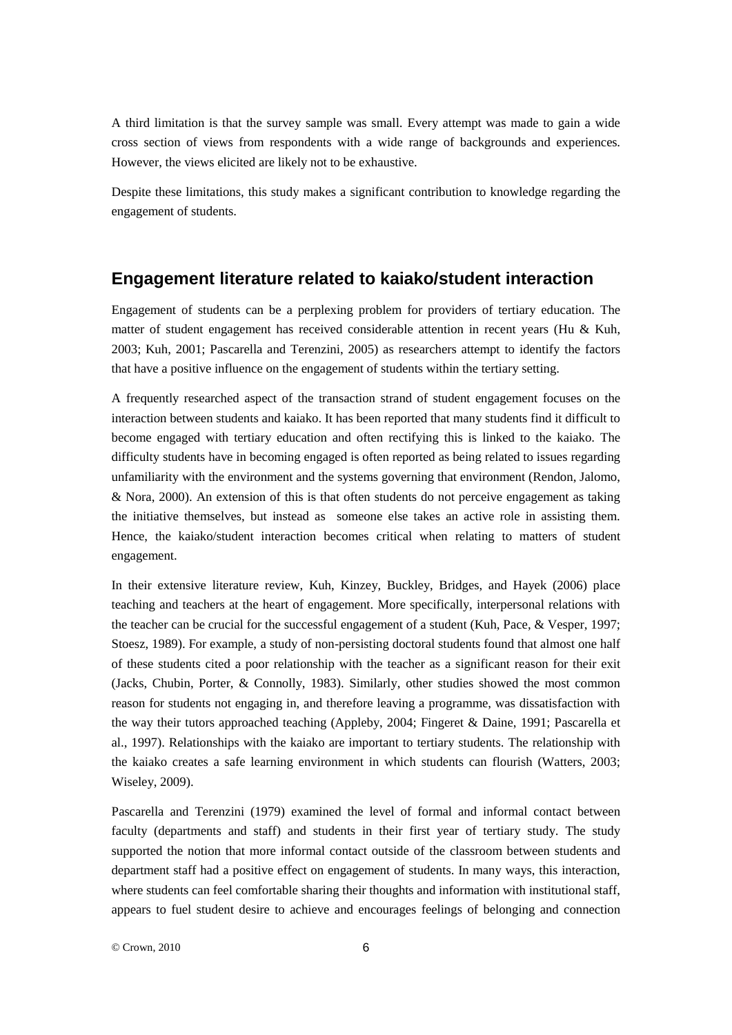A third limitation is that the survey sample was small. Every attempt was made to gain a wide cross section of views from respondents with a wide range of backgrounds and experiences. However, the views elicited are likely not to be exhaustive.

Despite these limitations, this study makes a significant contribution to knowledge regarding the engagement of students.

#### **Engagement literature related to kaiako/student interaction**

Engagement of students can be a perplexing problem for providers of tertiary education. The matter of student engagement has received considerable attention in recent years (Hu & Kuh, 2003; Kuh, 2001; Pascarella and Terenzini, 2005) as researchers attempt to identify the factors that have a positive influence on the engagement of students within the tertiary setting.

A frequently researched aspect of the transaction strand of student engagement focuses on the interaction between students and kaiako. It has been reported that many students find it difficult to become engaged with tertiary education and often rectifying this is linked to the kaiako. The difficulty students have in becoming engaged is often reported as being related to issues regarding unfamiliarity with the environment and the systems governing that environment (Rendon, Jalomo, & Nora, 2000). An extension of this is that often students do not perceive engagement as taking the initiative themselves, but instead as someone else takes an active role in assisting them. Hence, the kaiako/student interaction becomes critical when relating to matters of student engagement.

In their extensive literature review, Kuh, Kinzey, Buckley, Bridges, and Hayek (2006) place teaching and teachers at the heart of engagement. More specifically, interpersonal relations with the teacher can be crucial for the successful engagement of a student (Kuh, Pace, & Vesper, 1997; Stoesz, 1989). For example, a study of non-persisting doctoral students found that almost one half of these students cited a poor relationship with the teacher as a significant reason for their exit (Jacks, Chubin, Porter, & Connolly, 1983). Similarly, other studies showed the most common reason for students not engaging in, and therefore leaving a programme, was dissatisfaction with the way their tutors approached teaching (Appleby, 2004; Fingeret & Daine, 1991; Pascarella et al., 1997). Relationships with the kaiako are important to tertiary students. The relationship with the kaiako creates a safe learning environment in which students can flourish (Watters, 2003; Wiseley, 2009).

Pascarella and Terenzini (1979) examined the level of formal and informal contact between faculty (departments and staff) and students in their first year of tertiary study. The study supported the notion that more informal contact outside of the classroom between students and department staff had a positive effect on engagement of students. In many ways, this interaction, where students can feel comfortable sharing their thoughts and information with institutional staff, appears to fuel student desire to achieve and encourages feelings of belonging and connection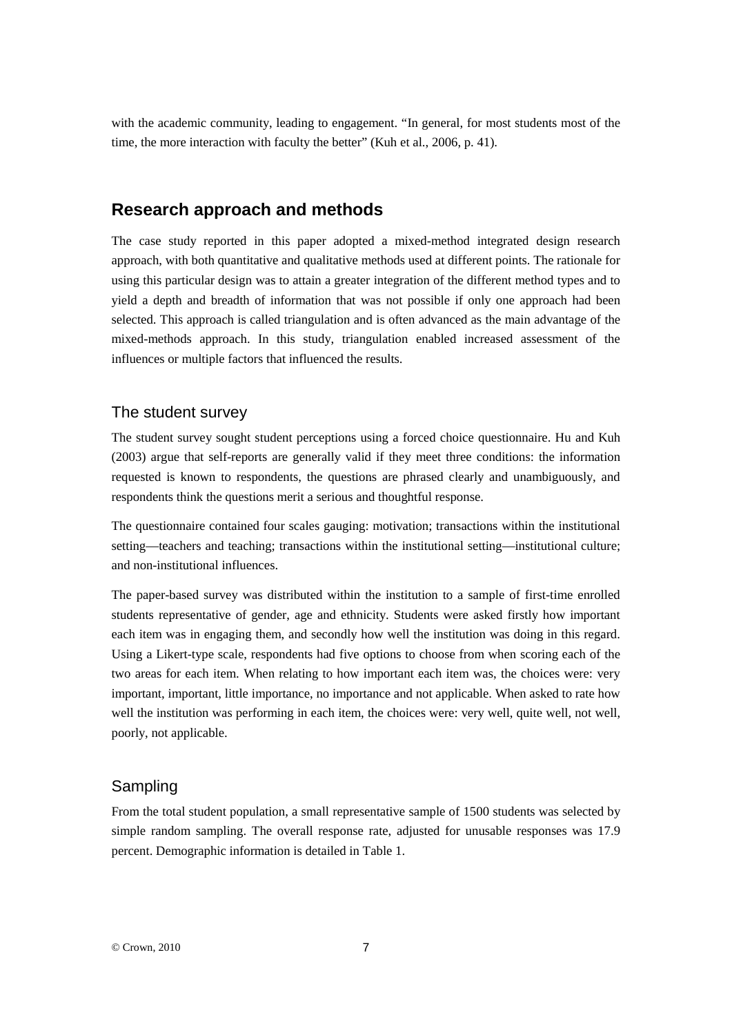with the academic community, leading to engagement. "In general, for most students most of the time, the more interaction with faculty the better" (Kuh et al., 2006, p. 41).

#### **Research approach and methods**

The case study reported in this paper adopted a mixed-method integrated design research approach, with both quantitative and qualitative methods used at different points. The rationale for using this particular design was to attain a greater integration of the different method types and to yield a depth and breadth of information that was not possible if only one approach had been selected. This approach is called triangulation and is often advanced as the main advantage of the mixed-methods approach. In this study, triangulation enabled increased assessment of the influences or multiple factors that influenced the results.

#### The student survey

The student survey sought student perceptions using a forced choice questionnaire. Hu and Kuh (2003) argue that self-reports are generally valid if they meet three conditions: the information requested is known to respondents, the questions are phrased clearly and unambiguously, and respondents think the questions merit a serious and thoughtful response.

The questionnaire contained four scales gauging: motivation; transactions within the institutional setting—teachers and teaching; transactions within the institutional setting—institutional culture; and non-institutional influences.

The paper-based survey was distributed within the institution to a sample of first-time enrolled students representative of gender, age and ethnicity. Students were asked firstly how important each item was in engaging them, and secondly how well the institution was doing in this regard. Using a Likert-type scale, respondents had five options to choose from when scoring each of the two areas for each item. When relating to how important each item was, the choices were: very important, important, little importance, no importance and not applicable. When asked to rate how well the institution was performing in each item, the choices were: very well, quite well, not well, poorly, not applicable.

#### Sampling

From the total student population, a small representative sample of 1500 students was selected by simple random sampling. The overall response rate, adjusted for unusable responses was 17.9 percent. Demographic information is detailed in Table 1.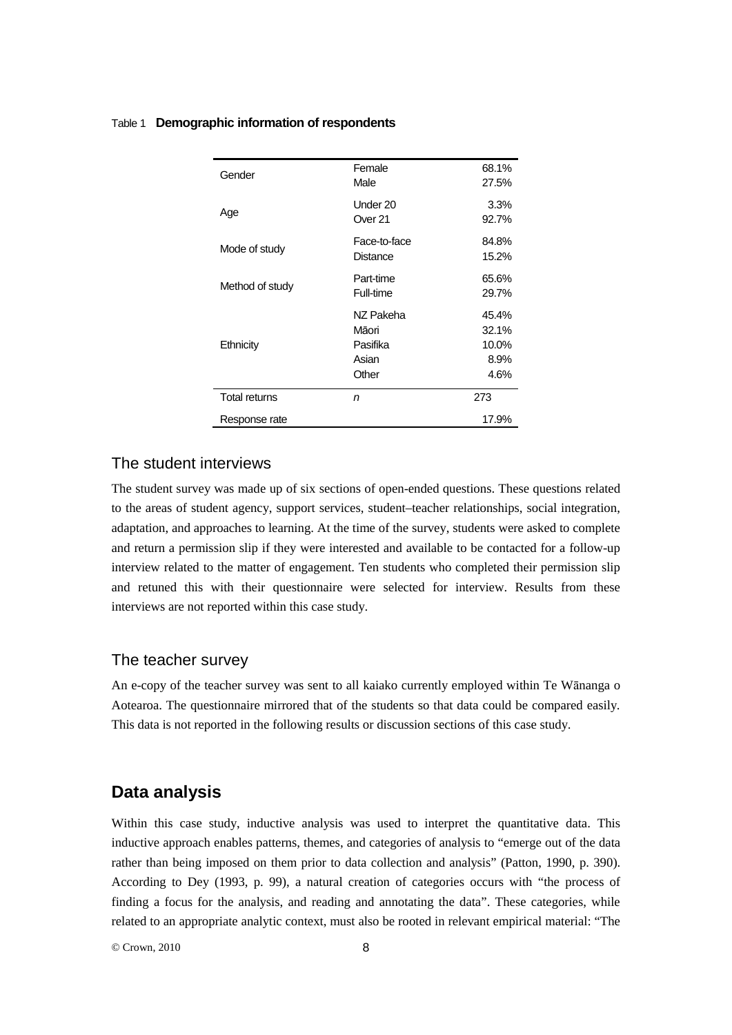#### Table 1 **Demographic information of respondents**

| Gender               | Female<br>Male                                   | 68.1%<br>27.5%                          |
|----------------------|--------------------------------------------------|-----------------------------------------|
| Age                  | Under 20<br>Over 21                              | 3.3%<br>92.7%                           |
| Mode of study        | Face-to-face<br>Distance                         | 84.8%<br>15.2%                          |
| Method of study      | Part-time<br>Full-time                           | 65.6%<br>29.7%                          |
| Ethnicity            | NZ Pakeha<br>Māori<br>Pasifika<br>Asian<br>Other | 45.4%<br>32.1%<br>10.0%<br>8.9%<br>4.6% |
| <b>Total returns</b> | n                                                | 273                                     |
| Response rate        |                                                  | 17.9%                                   |

#### The student interviews

The student survey was made up of six sections of open-ended questions. These questions related to the areas of student agency, support services, student–teacher relationships, social integration, adaptation, and approaches to learning. At the time of the survey, students were asked to complete and return a permission slip if they were interested and available to be contacted for a follow-up interview related to the matter of engagement. Ten students who completed their permission slip and retuned this with their questionnaire were selected for interview. Results from these interviews are not reported within this case study.

#### The teacher survey

An e-copy of the teacher survey was sent to all kaiako currently employed within Te Wānanga o Aotearoa. The questionnaire mirrored that of the students so that data could be compared easily. This data is not reported in the following results or discussion sections of this case study.

#### **Data analysis**

Within this case study, inductive analysis was used to interpret the quantitative data. This inductive approach enables patterns, themes, and categories of analysis to "emerge out of the data rather than being imposed on them prior to data collection and analysis" (Patton, 1990, p. 390). According to Dey (1993, p. 99), a natural creation of categories occurs with "the process of finding a focus for the analysis, and reading and annotating the data". These categories, while related to an appropriate analytic context, must also be rooted in relevant empirical material: "The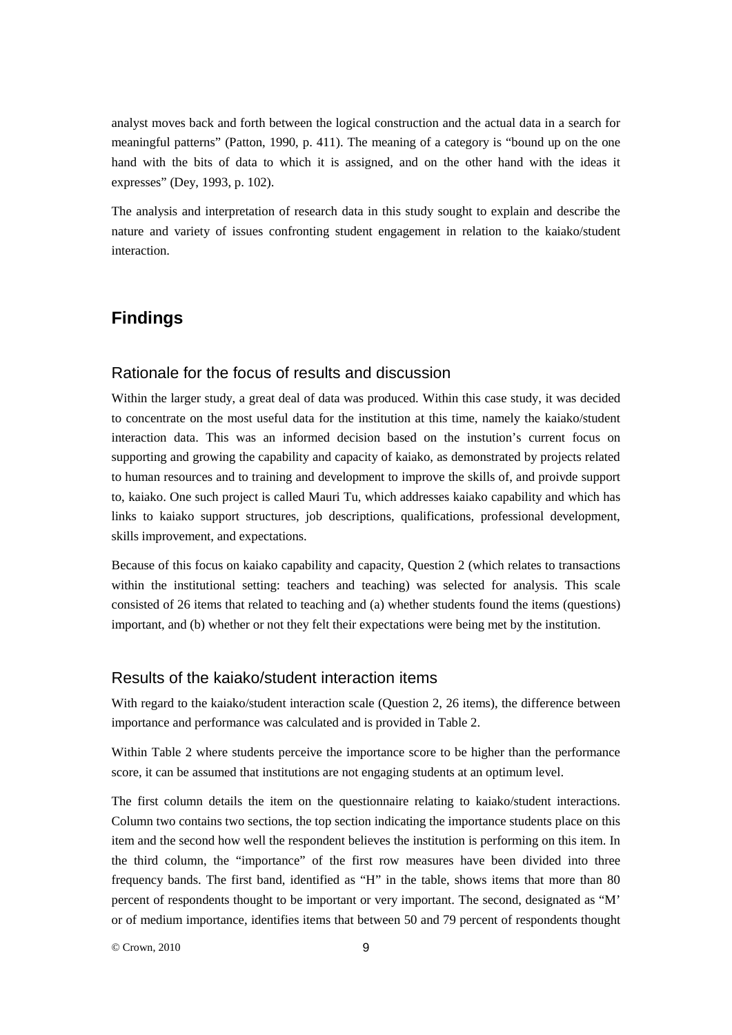analyst moves back and forth between the logical construction and the actual data in a search for meaningful patterns" (Patton, 1990, p. 411). The meaning of a category is "bound up on the one hand with the bits of data to which it is assigned, and on the other hand with the ideas it expresses" (Dey, 1993, p. 102).

The analysis and interpretation of research data in this study sought to explain and describe the nature and variety of issues confronting student engagement in relation to the kaiako/student interaction.

# **Findings**

#### Rationale for the focus of results and discussion

Within the larger study, a great deal of data was produced. Within this case study, it was decided to concentrate on the most useful data for the institution at this time, namely the kaiako/student interaction data. This was an informed decision based on the instution's current focus on supporting and growing the capability and capacity of kaiako, as demonstrated by projects related to human resources and to training and development to improve the skills of, and proivde support to, kaiako. One such project is called Mauri Tu, which addresses kaiako capability and which has links to kaiako support structures, job descriptions, qualifications, professional development, skills improvement, and expectations.

Because of this focus on kaiako capability and capacity, Question 2 (which relates to transactions within the institutional setting: teachers and teaching) was selected for analysis. This scale consisted of 26 items that related to teaching and (a) whether students found the items (questions) important, and (b) whether or not they felt their expectations were being met by the institution.

#### Results of the kaiako/student interaction items

With regard to the kaiako/student interaction scale (Question 2, 26 items), the difference between importance and performance was calculated and is provided in Table 2.

Within Table 2 where students perceive the importance score to be higher than the performance score, it can be assumed that institutions are not engaging students at an optimum level.

The first column details the item on the questionnaire relating to kaiako/student interactions. Column two contains two sections, the top section indicating the importance students place on this item and the second how well the respondent believes the institution is performing on this item. In the third column, the "importance" of the first row measures have been divided into three frequency bands. The first band, identified as "H" in the table, shows items that more than 80 percent of respondents thought to be important or very important. The second, designated as "M' or of medium importance, identifies items that between 50 and 79 percent of respondents thought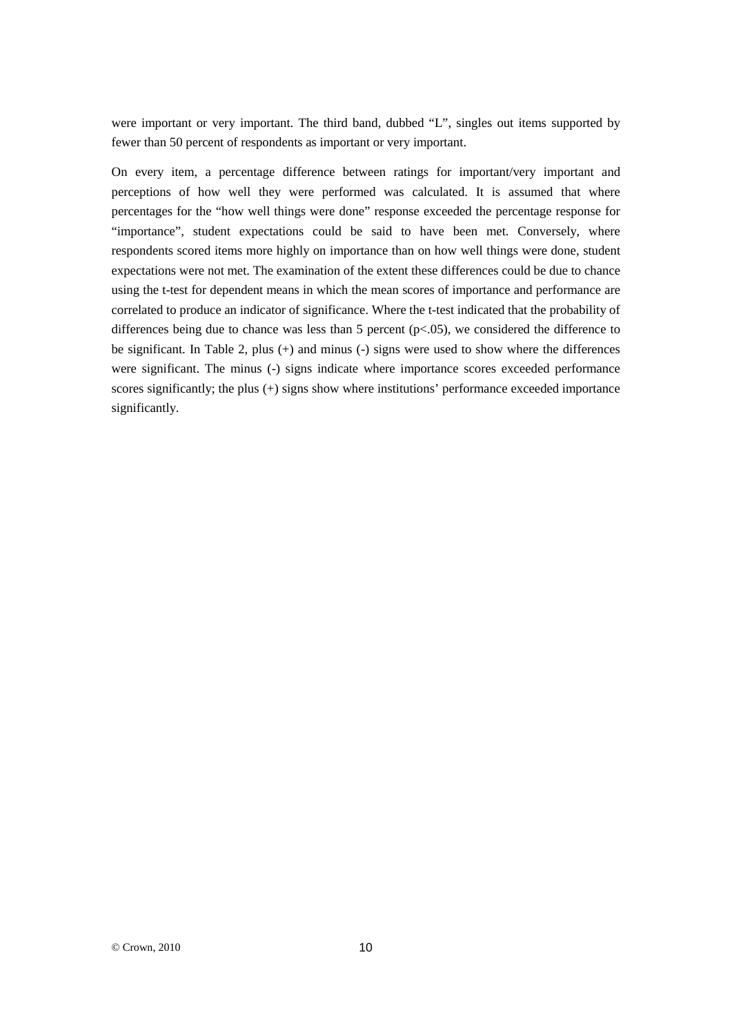were important or very important. The third band, dubbed "L", singles out items supported by fewer than 50 percent of respondents as important or very important.

On every item, a percentage difference between ratings for important/very important and perceptions of how well they were performed was calculated. It is assumed that where percentages for the "how well things were done" response exceeded the percentage response for "importance", student expectations could be said to have been met. Conversely, where respondents scored items more highly on importance than on how well things were done, student expectations were not met. The examination of the extent these differences could be due to chance using the t-test for dependent means in which the mean scores of importance and performance are correlated to produce an indicator of significance. Where the t-test indicated that the probability of differences being due to chance was less than 5 percent  $(p<0.05)$ , we considered the difference to be significant. In Table 2, plus (+) and minus (-) signs were used to show where the differences were significant. The minus (-) signs indicate where importance scores exceeded performance scores significantly; the plus (+) signs show where institutions' performance exceeded importance significantly.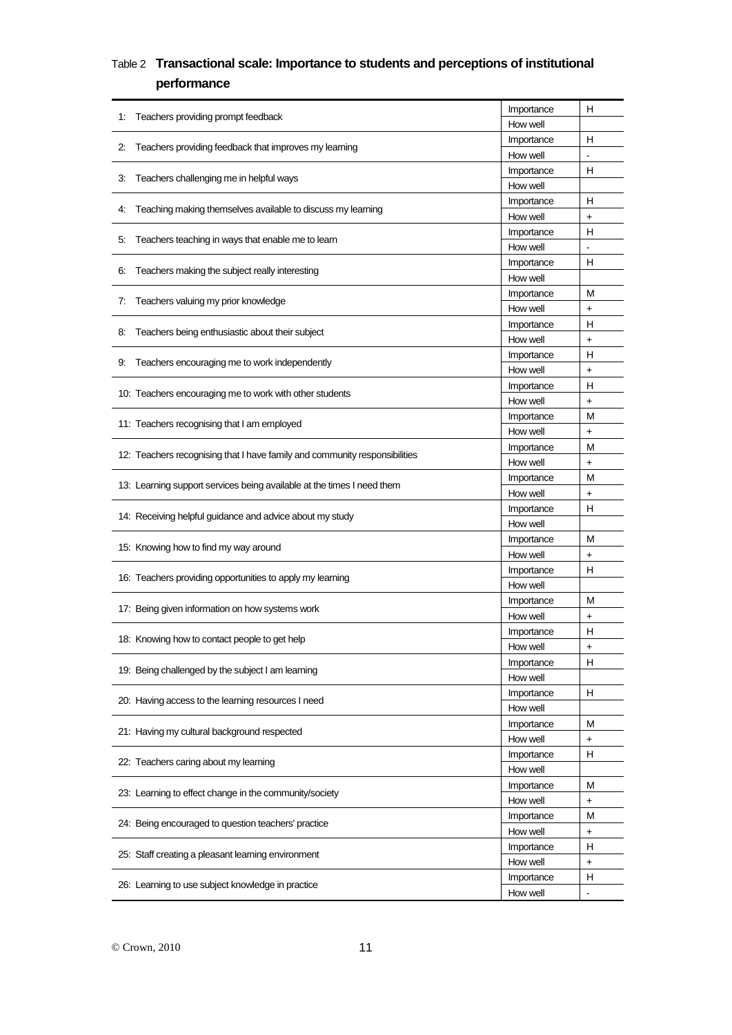## Table 2 **Transactional scale: Importance to students and perceptions of institutional performance**

|                                                                            | Importance             | н                        |
|----------------------------------------------------------------------------|------------------------|--------------------------|
| Teachers providing prompt feedback<br>1:                                   | How well               |                          |
|                                                                            | Importance             | н                        |
| Teachers providing feedback that improves my learning<br>$\mathbf{2}$ :    | How well               |                          |
| Teachers challenging me in helpful ways<br>3.                              | Importance             | н                        |
|                                                                            | How well               |                          |
| Teaching making themselves available to discuss my learning<br>4:          | Importance             | н                        |
|                                                                            | How well               | $\ddot{}$                |
| Teachers teaching in ways that enable me to learn<br>5.                    | Importance             | н                        |
|                                                                            | How well               | $\overline{\phantom{a}}$ |
| Teachers making the subject really interesting<br>6.                       | Importance             | н                        |
|                                                                            | How well               |                          |
| Teachers valuing my prior knowledge<br>7:                                  | Importance             | M                        |
|                                                                            | How well<br>Importance | +<br>н                   |
| Teachers being enthusiastic about their subject<br>8.                      | How well               | $\ddot{}$                |
|                                                                            | Importance             | н                        |
| Teachers encouraging me to work independently<br>9.                        | How well               | $\ddot{}$                |
|                                                                            | Importance             | н                        |
| 10: Teachers encouraging me to work with other students                    | How well               | $\ddot{}$                |
|                                                                            | Importance             | М                        |
| 11: Teachers recognising that I am employed                                | How well               | $\ddot{}$                |
|                                                                            | Importance             | M                        |
| 12: Teachers recognising that I have family and community responsibilities | How well               | $\ddot{}$                |
|                                                                            | Importance             | M                        |
| 13: Learning support services being available at the times I need them     | How well               | $\ddot{}$                |
| 14: Receiving helpful guidance and advice about my study                   | Importance             | н                        |
|                                                                            | How well               |                          |
| 15: Knowing how to find my way around                                      | Importance             | M                        |
|                                                                            | How well               | $\ddot{}$                |
| 16: Teachers providing opportunities to apply my learning                  | Importance             | н                        |
|                                                                            | How well               |                          |
| 17: Being given information on how systems work                            | Importance             | М                        |
|                                                                            | How well               | $\ddot{}$                |
| 18: Knowing how to contact people to get help                              | Importance             | н                        |
|                                                                            | How well               |                          |
| 19: Being challenged by the subject I am learning                          | Importance             | н                        |
|                                                                            | How well               |                          |
| 20: Having access to the learning resources I need                         | Importance<br>How well | н                        |
|                                                                            | Importance             | M                        |
| 21: Having my cultural background respected                                | How well               | +                        |
|                                                                            | Importance             | н                        |
| 22: Teachers caring about my learning                                      | How well               |                          |
|                                                                            | Importance             | M                        |
| 23: Learning to effect change in the community/society                     | How well               | $\ddagger$               |
|                                                                            | Importance             | M                        |
| 24: Being encouraged to question teachers' practice                        | How well               | +                        |
|                                                                            | Importance             | н                        |
| 25: Staff creating a pleasant learning environment                         | How well               | $\ddot{}$                |
|                                                                            | Importance             | н                        |
| 26: Learning to use subject knowledge in practice                          | How well               |                          |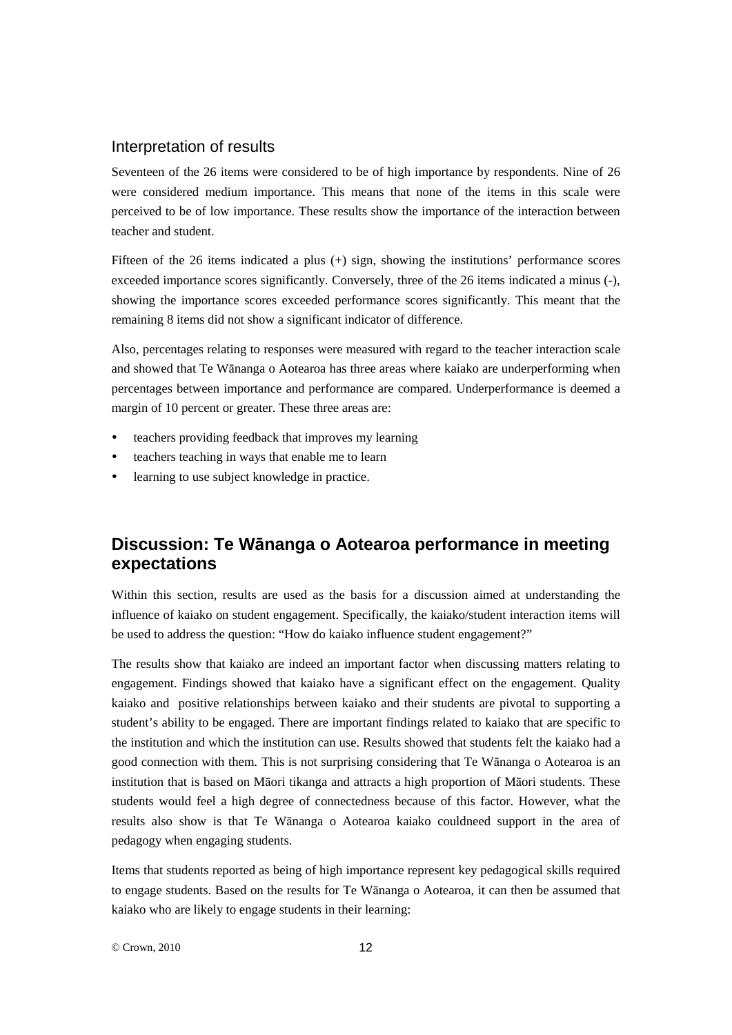#### Interpretation of results

Seventeen of the 26 items were considered to be of high importance by respondents. Nine of 26 were considered medium importance. This means that none of the items in this scale were perceived to be of low importance. These results show the importance of the interaction between teacher and student.

Fifteen of the 26 items indicated a plus (+) sign, showing the institutions' performance scores exceeded importance scores significantly. Conversely, three of the 26 items indicated a minus (-), showing the importance scores exceeded performance scores significantly. This meant that the remaining 8 items did not show a significant indicator of difference.

Also, percentages relating to responses were measured with regard to the teacher interaction scale and showed that Te Wānanga o Aotearoa has three areas where kaiako are underperforming when percentages between importance and performance are compared. Underperformance is deemed a margin of 10 percent or greater. These three areas are:

- teachers providing feedback that improves my learning
- teachers teaching in ways that enable me to learn
- learning to use subject knowledge in practice.

## **Discussion: Te Wānanga o Aotearoa performance in meeting expectations**

Within this section, results are used as the basis for a discussion aimed at understanding the influence of kaiako on student engagement. Specifically, the kaiako/student interaction items will be used to address the question: "How do kaiako influence student engagement?"

The results show that kaiako are indeed an important factor when discussing matters relating to engagement. Findings showed that kaiako have a significant effect on the engagement. Quality kaiako and positive relationships between kaiako and their students are pivotal to supporting a student's ability to be engaged. There are important findings related to kaiako that are specific to the institution and which the institution can use. Results showed that students felt the kaiako had a good connection with them. This is not surprising considering that Te Wānanga o Aotearoa is an institution that is based on Māori tikanga and attracts a high proportion of Māori students. These students would feel a high degree of connectedness because of this factor. However, what the results also show is that Te Wānanga o Aotearoa kaiako couldneed support in the area of pedagogy when engaging students.

Items that students reported as being of high importance represent key pedagogical skills required to engage students. Based on the results for Te Wānanga o Aotearoa, it can then be assumed that kaiako who are likely to engage students in their learning: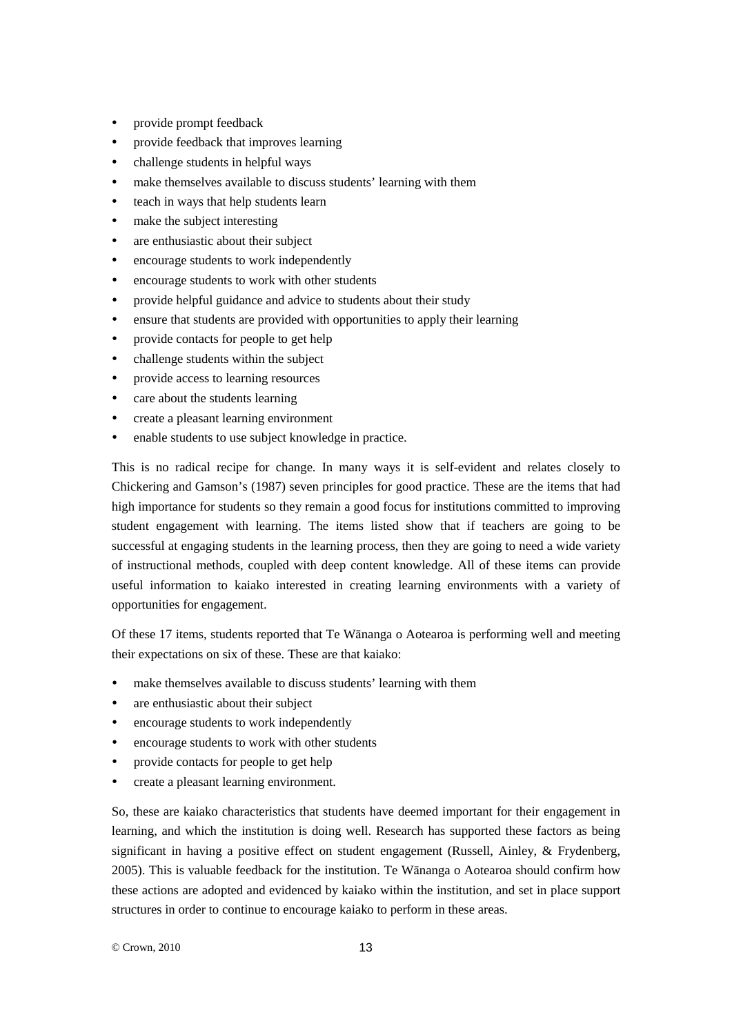- provide prompt feedback
- provide feedback that improves learning
- challenge students in helpful ways
- make themselves available to discuss students' learning with them
- teach in ways that help students learn
- make the subject interesting
- are enthusiastic about their subject
- encourage students to work independently
- encourage students to work with other students
- provide helpful guidance and advice to students about their study
- ensure that students are provided with opportunities to apply their learning
- provide contacts for people to get help
- challenge students within the subject
- provide access to learning resources
- care about the students learning
- create a pleasant learning environment
- enable students to use subject knowledge in practice.

This is no radical recipe for change. In many ways it is self-evident and relates closely to Chickering and Gamson's (1987) seven principles for good practice. These are the items that had high importance for students so they remain a good focus for institutions committed to improving student engagement with learning. The items listed show that if teachers are going to be successful at engaging students in the learning process, then they are going to need a wide variety of instructional methods, coupled with deep content knowledge. All of these items can provide useful information to kaiako interested in creating learning environments with a variety of opportunities for engagement.

Of these 17 items, students reported that Te Wānanga o Aotearoa is performing well and meeting their expectations on six of these. These are that kaiako:

- make themselves available to discuss students' learning with them
- are enthusiastic about their subject
- encourage students to work independently
- encourage students to work with other students
- provide contacts for people to get help
- create a pleasant learning environment.

So, these are kaiako characteristics that students have deemed important for their engagement in learning, and which the institution is doing well. Research has supported these factors as being significant in having a positive effect on student engagement (Russell, Ainley, & Frydenberg, 2005). This is valuable feedback for the institution. Te Wānanga o Aotearoa should confirm how these actions are adopted and evidenced by kaiako within the institution, and set in place support structures in order to continue to encourage kaiako to perform in these areas.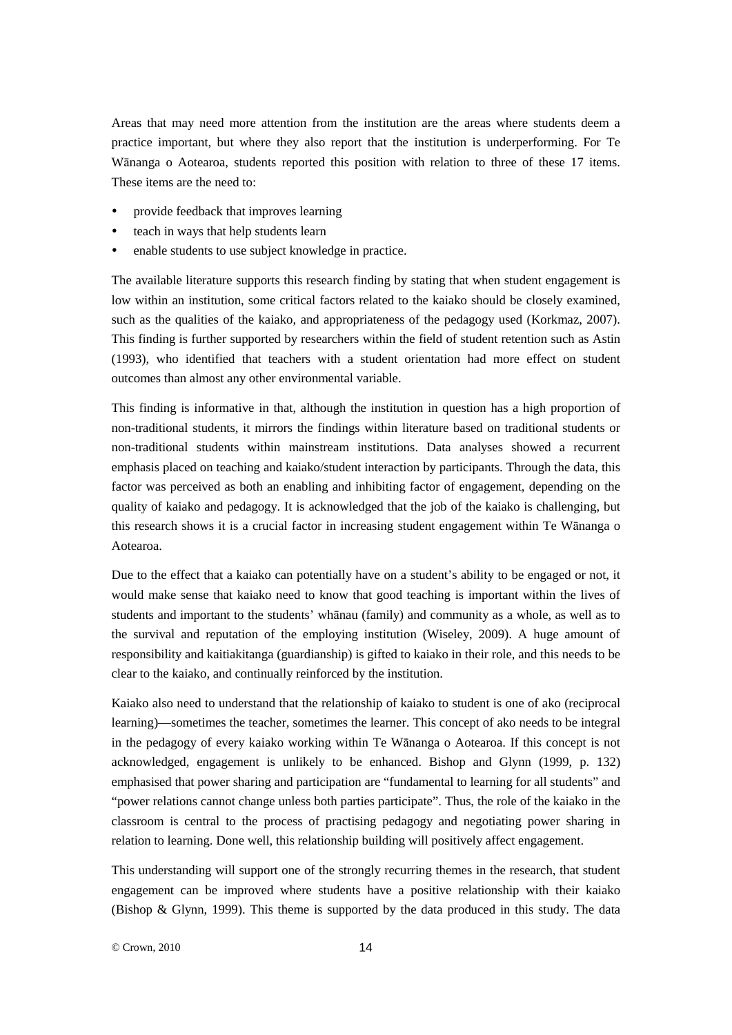Areas that may need more attention from the institution are the areas where students deem a practice important, but where they also report that the institution is underperforming. For Te Wānanga o Aotearoa, students reported this position with relation to three of these 17 items. These items are the need to:

- provide feedback that improves learning
- teach in ways that help students learn
- enable students to use subject knowledge in practice.

The available literature supports this research finding by stating that when student engagement is low within an institution, some critical factors related to the kaiako should be closely examined, such as the qualities of the kaiako, and appropriateness of the pedagogy used (Korkmaz, 2007). This finding is further supported by researchers within the field of student retention such as Astin (1993), who identified that teachers with a student orientation had more effect on student outcomes than almost any other environmental variable.

This finding is informative in that, although the institution in question has a high proportion of non-traditional students, it mirrors the findings within literature based on traditional students or non-traditional students within mainstream institutions. Data analyses showed a recurrent emphasis placed on teaching and kaiako/student interaction by participants. Through the data, this factor was perceived as both an enabling and inhibiting factor of engagement, depending on the quality of kaiako and pedagogy. It is acknowledged that the job of the kaiako is challenging, but this research shows it is a crucial factor in increasing student engagement within Te Wānanga o Aotearoa.

Due to the effect that a kaiako can potentially have on a student's ability to be engaged or not, it would make sense that kaiako need to know that good teaching is important within the lives of students and important to the students' whānau (family) and community as a whole, as well as to the survival and reputation of the employing institution (Wiseley, 2009). A huge amount of responsibility and kaitiakitanga (guardianship) is gifted to kaiako in their role, and this needs to be clear to the kaiako, and continually reinforced by the institution.

Kaiako also need to understand that the relationship of kaiako to student is one of ako (reciprocal learning)—sometimes the teacher, sometimes the learner. This concept of ako needs to be integral in the pedagogy of every kaiako working within Te Wānanga o Aotearoa. If this concept is not acknowledged, engagement is unlikely to be enhanced. Bishop and Glynn (1999, p. 132) emphasised that power sharing and participation are "fundamental to learning for all students" and "power relations cannot change unless both parties participate". Thus, the role of the kaiako in the classroom is central to the process of practising pedagogy and negotiating power sharing in relation to learning. Done well, this relationship building will positively affect engagement.

This understanding will support one of the strongly recurring themes in the research, that student engagement can be improved where students have a positive relationship with their kaiako (Bishop & Glynn, 1999). This theme is supported by the data produced in this study. The data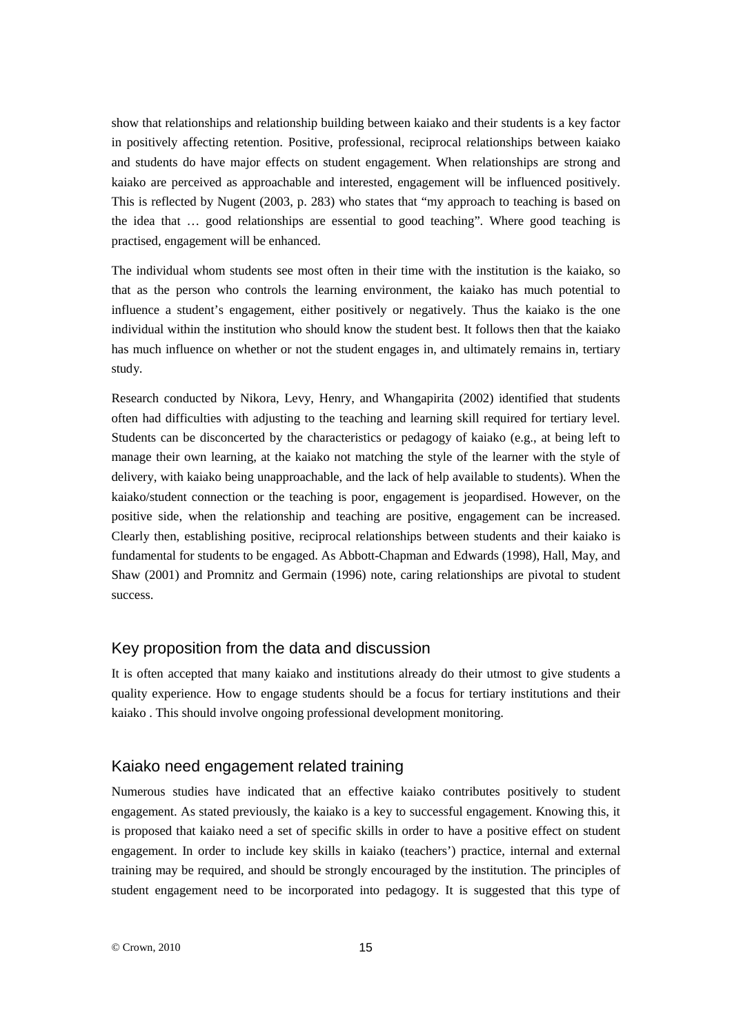show that relationships and relationship building between kaiako and their students is a key factor in positively affecting retention. Positive, professional, reciprocal relationships between kaiako and students do have major effects on student engagement. When relationships are strong and kaiako are perceived as approachable and interested, engagement will be influenced positively. This is reflected by Nugent (2003, p. 283) who states that "my approach to teaching is based on the idea that … good relationships are essential to good teaching". Where good teaching is practised, engagement will be enhanced.

The individual whom students see most often in their time with the institution is the kaiako, so that as the person who controls the learning environment, the kaiako has much potential to influence a student's engagement, either positively or negatively. Thus the kaiako is the one individual within the institution who should know the student best. It follows then that the kaiako has much influence on whether or not the student engages in, and ultimately remains in, tertiary study.

Research conducted by Nikora, Levy, Henry, and Whangapirita (2002) identified that students often had difficulties with adjusting to the teaching and learning skill required for tertiary level. Students can be disconcerted by the characteristics or pedagogy of kaiako (e.g., at being left to manage their own learning, at the kaiako not matching the style of the learner with the style of delivery, with kaiako being unapproachable, and the lack of help available to students). When the kaiako/student connection or the teaching is poor, engagement is jeopardised. However, on the positive side, when the relationship and teaching are positive, engagement can be increased. Clearly then, establishing positive, reciprocal relationships between students and their kaiako is fundamental for students to be engaged. As Abbott-Chapman and Edwards (1998), Hall, May, and Shaw (2001) and Promnitz and Germain (1996) note, caring relationships are pivotal to student success.

#### Key proposition from the data and discussion

It is often accepted that many kaiako and institutions already do their utmost to give students a quality experience. How to engage students should be a focus for tertiary institutions and their kaiako . This should involve ongoing professional development monitoring.

#### Kaiako need engagement related training

Numerous studies have indicated that an effective kaiako contributes positively to student engagement. As stated previously, the kaiako is a key to successful engagement. Knowing this, it is proposed that kaiako need a set of specific skills in order to have a positive effect on student engagement. In order to include key skills in kaiako (teachers') practice, internal and external training may be required, and should be strongly encouraged by the institution. The principles of student engagement need to be incorporated into pedagogy. It is suggested that this type of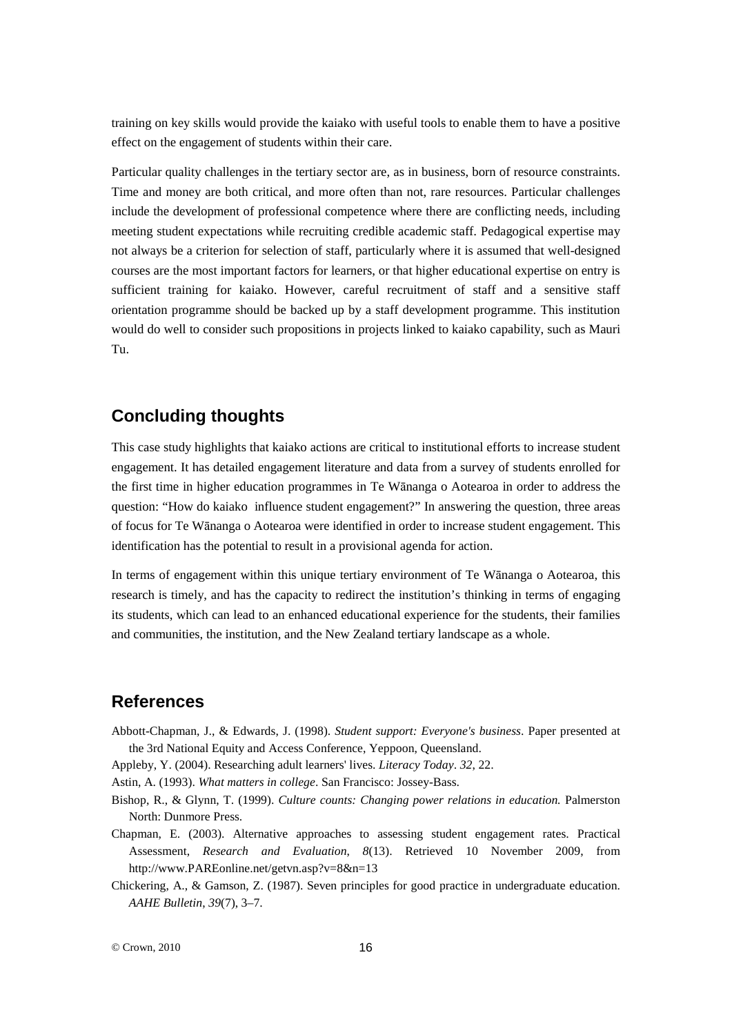training on key skills would provide the kaiako with useful tools to enable them to have a positive effect on the engagement of students within their care.

Particular quality challenges in the tertiary sector are, as in business, born of resource constraints. Time and money are both critical, and more often than not, rare resources. Particular challenges include the development of professional competence where there are conflicting needs, including meeting student expectations while recruiting credible academic staff. Pedagogical expertise may not always be a criterion for selection of staff, particularly where it is assumed that well-designed courses are the most important factors for learners, or that higher educational expertise on entry is sufficient training for kaiako. However, careful recruitment of staff and a sensitive staff orientation programme should be backed up by a staff development programme. This institution would do well to consider such propositions in projects linked to kaiako capability, such as Mauri Tu.

## **Concluding thoughts**

This case study highlights that kaiako actions are critical to institutional efforts to increase student engagement. It has detailed engagement literature and data from a survey of students enrolled for the first time in higher education programmes in Te Wānanga o Aotearoa in order to address the question: "How do kaiako influence student engagement?" In answering the question, three areas of focus for Te Wānanga o Aotearoa were identified in order to increase student engagement. This identification has the potential to result in a provisional agenda for action.

In terms of engagement within this unique tertiary environment of Te Wānanga o Aotearoa, this research is timely, and has the capacity to redirect the institution's thinking in terms of engaging its students, which can lead to an enhanced educational experience for the students, their families and communities, the institution, and the New Zealand tertiary landscape as a whole.

## **References**

- Abbott-Chapman, J., & Edwards, J. (1998). *Student support: Everyone's business*. Paper presented at the 3rd National Equity and Access Conference, Yeppoon, Queensland.
- Appleby, Y. (2004). Researching adult learners' lives. *Literacy Today*. *32*, 22.

Astin, A. (1993). *What matters in college*. San Francisco: Jossey-Bass.

- Bishop, R., & Glynn, T. (1999). *Culture counts: Changing power relations in education.* Palmerston North: Dunmore Press.
- Chapman, E. (2003). Alternative approaches to assessing student engagement rates. Practical Assessment, *Research and Evaluation*, *8*(13). Retrieved 10 November 2009, from [http://www.PAREonline.net/getvn.asp?v=8&n=13](http://www.pareonline.net/getvn.asp?v=8&n=13)
- Chickering, A., & Gamson, Z. (1987). Seven principles for good practice in undergraduate education. *AAHE Bulletin*, *39*(7), 3–7.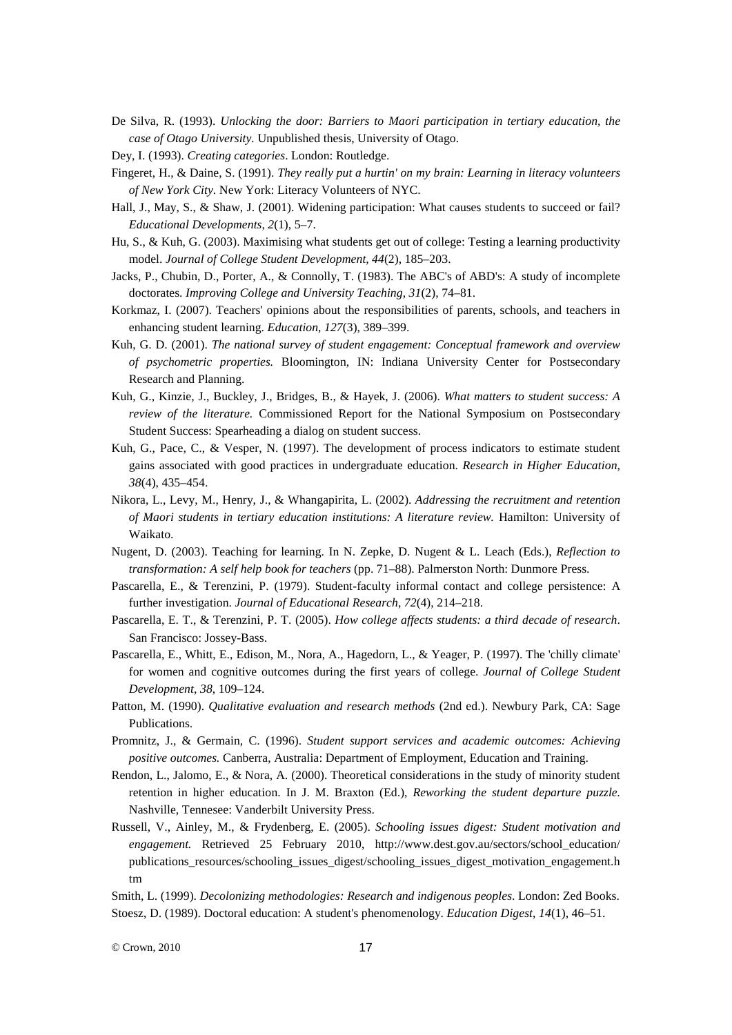- De Silva, R. (1993). *Unlocking the door: Barriers to Maori participation in tertiary education, the case of Otago University.* Unpublished thesis, University of Otago.
- Dey, I. (1993). *Creating categories*. London: Routledge.
- Fingeret, H., & Daine, S. (1991). *They really put a hurtin' on my brain: Learning in literacy volunteers of New York City*. New York: Literacy Volunteers of NYC.
- Hall, J., May, S., & Shaw, J. (2001). Widening participation: What causes students to succeed or fail? *Educational Developments*, *2*(1), 5–7.
- Hu, S., & Kuh, G. (2003). Maximising what students get out of college: Testing a learning productivity model. *Journal of College Student Development*, *44*(2), 185–203.
- Jacks, P., Chubin, D., Porter, A., & Connolly, T. (1983). The ABC's of ABD's: A study of incomplete doctorates. *Improving College and University Teaching*, *31*(2), 74–81.
- Korkmaz, I. (2007). Teachers' opinions about the responsibilities of parents, schools, and teachers in enhancing student learning. *Education*, *127*(3), 389–399.
- Kuh, G. D. (2001). *The national survey of student engagement: Conceptual framework and overview of psychometric properties.* Bloomington, IN: Indiana University Center for Postsecondary Research and Planning.
- Kuh, G., Kinzie, J., Buckley, J., Bridges, B., & Hayek, J. (2006). *What matters to student success: A review of the literature.* Commissioned Report for the National Symposium on Postsecondary Student Success: Spearheading a dialog on student success.
- Kuh, G., Pace, C., & Vesper, N. (1997). The development of process indicators to estimate student gains associated with good practices in undergraduate education. *Research in Higher Education*, *38*(4), 435–454.
- Nikora, L., Levy, M., Henry, J., & Whangapirita, L. (2002). *Addressing the recruitment and retention of Maori students in tertiary education institutions: A literature review.* Hamilton: University of Waikato.
- Nugent, D. (2003). Teaching for learning. In N. Zepke, D. Nugent & L. Leach (Eds.), *Reflection to transformation: A self help book for teachers* (pp. 71–88). Palmerston North: Dunmore Press.
- Pascarella, E., & Terenzini, P. (1979). Student-faculty informal contact and college persistence: A further investigation. *Journal of Educational Research*, *72*(4), 214–218.
- Pascarella, E. T., & Terenzini, P. T. (2005). *How college affects students: a third decade of research*. San Francisco: Jossey-Bass.
- Pascarella, E., Whitt, E., Edison, M., Nora, A., Hagedorn, L., & Yeager, P. (1997). The 'chilly climate' for women and cognitive outcomes during the first years of college. *Journal of College Student Development*, *38*, 109–124.
- Patton, M. (1990). *Qualitative evaluation and research methods* (2nd ed.). Newbury Park, CA: Sage Publications.
- Promnitz, J., & Germain, C. (1996). *Student support services and academic outcomes: Achieving positive outcomes.* Canberra, Australia: Department of Employment, Education and Training.
- Rendon, L., Jalomo, E., & Nora, A. (2000). Theoretical considerations in the study of minority student retention in higher education. In J. M. Braxton (Ed.), *Reworking the student departure puzzle.* Nashville, Tennesee: Vanderbilt University Press.
- Russell, V., Ainley, M., & Frydenberg, E. (2005). *Schooling issues digest: Student motivation and engagement.* Retrieved 25 February 2010, http://www.dest.gov.au/sectors/school\_education/ publications\_resources/schooling\_issues\_digest/schooling\_issues\_digest\_motivation\_engagement.h tm

Smith, L. (1999). *Decolonizing methodologies: Research and indigenous peoples*. London: Zed Books. Stoesz, D. (1989). Doctoral education: A student's phenomenology. *Education Digest*, *14*(1), 46–51.

© Crown, 2010 17